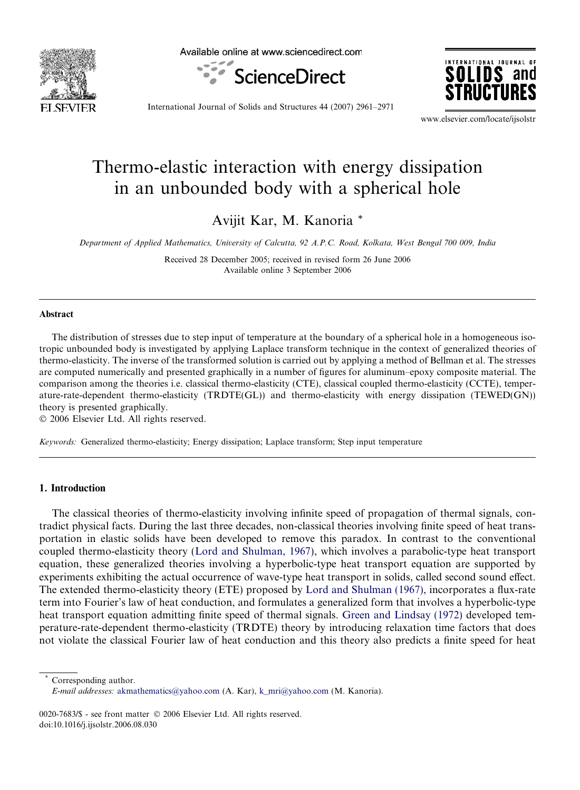

Available online at www.sciencedirect.com



**SOLIDS and** 

International Journal of Solids and Structures 44 (2007) 2961–2971

www.elsevier.com/locate/ijsolstr

# Thermo-elastic interaction with energy dissipation in an unbounded body with a spherical hole

Avijit Kar, M. Kanoria \*

*Department of Applied Mathematics, University of Calcutta, 92 A.P.C. Road, Kolkata, West Bengal 700 009, India*

Received 28 December 2005; received in revised form 26 June 2006 Available online 3 September 2006

# Abstract

The distribution of stresses due to step input of temperature at the boundary of a spherical hole in a homogeneous isotropic unbounded body is investigated by applying Laplace transform technique in the context of generalized theories of thermo-elasticity. The inverse of the transformed solution is carried out by applying a method of Bellman et al. The stresses are computed numerically and presented graphically in a number of figures for aluminum–epoxy composite material. The comparison among the theories i.e. classical thermo-elasticity (CTE), classical coupled thermo-elasticity (CCTE), temperature-rate-dependent thermo-elasticity (TRDTE(GL)) and thermo-elasticity with energy dissipation (TEWED(GN)) theory is presented graphically.

 $© 2006 Elsevier Ltd. All rights reserved.$ 

*Keywords:* Generalized thermo-elasticity; Energy dissipation; Laplace transform; Step input temperature

## 1. Introduction

The classical theories of thermo-elasticity involving infinite speed of propagation of thermal signals, contradict physical facts. During the last three decades, non-classical theories involving finite speed of heat transportation in elastic solids have been developed to remove this paradox. In contrast to the conventional coupled thermo-elasticity theory (Lord and Shulman, 1967), which involves a parabolic-type heat transport equation, these generalized theories involving a hyperbolic-type heat transport equation are supported by experiments exhibiting the actual occurrence of wave-type heat transport in solids, called second sound effect. The extended thermo-elasticity theory (ETE) proposed by Lord and Shulman (1967), incorporates a flux-rate term into Fourier's law of heat conduction, and formulates a generalized form that involves a hyperbolic-type heat transport equation admitting finite speed of thermal signals. Green and Lindsay (1972) developed temperature-rate-dependent thermo-elasticity (TRDTE) theory by introducing relaxation time factors that does not violate the classical Fourier law of heat conduction and this theory also predicts a finite speed for heat

Corresponding author.

0020-7683/\$ - see front matter © 2006 Elsevier Ltd. All rights reserved. doi:10.1016/j.ijsolstr.2006.08.030

*E-mail addresses:* akmathematics@yahoo.com (A. Kar), k\_mri@yahoo.com (M. Kanoria).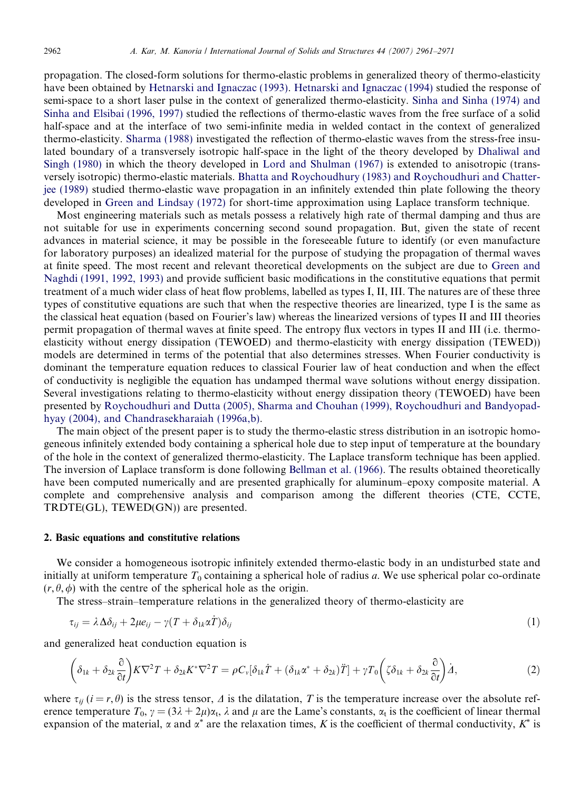propagation. The closed-form solutions for thermo-elastic problems in generalized theory of thermo-elasticity have been obtained by Hetnarski and Ignaczac (1993). Hetnarski and Ignaczac (1994) studied the response of semi-space to a short laser pulse in the context of generalized thermo-elasticity. Sinha and Sinha (1974) and Sinha and Elsibai (1996, 1997) studied the reflections of thermo-elastic waves from the free surface of a solid half-space and at the interface of two semi-infinite media in welded contact in the context of generalized thermo-elasticity. Sharma (1988) investigated the reflection of thermo-elastic waves from the stress-free insulated boundary of a transversely isotropic half-space in the light of the theory developed by Dhaliwal and Singh (1980) in which the theory developed in Lord and Shulman (1967) is extended to anisotropic (transversely isotropic) thermo-elastic materials. Bhatta and Roychoudhury (1983) and Roychoudhuri and Chatterjee (1989) studied thermo-elastic wave propagation in an infinitely extended thin plate following the theory developed in Green and Lindsay (1972) for short-time approximation using Laplace transform technique.

Most engineering materials such as metals possess a relatively high rate of thermal damping and thus are not suitable for use in experiments concerning second sound propagation. But, given the state of recent advances in material science, it may be possible in the foreseeable future to identify (or even manufacture for laboratory purposes) an idealized material for the purpose of studying the propagation of thermal waves at finite speed. The most recent and relevant theoretical developments on the subject are due to Green and Naghdi (1991, 1992, 1993) and provide sufficient basic modifications in the constitutive equations that permit treatment of a much wider class of heat flow problems, labelled as types I, II, III. The natures are of these three types of constitutive equations are such that when the respective theories are linearized, type I is the same as the classical heat equation (based on Fourier's law) whereas the linearized versions of types II and III theories permit propagation of thermal waves at finite speed. The entropy flux vectors in types II and III (i.e. thermoelasticity without energy dissipation (TEWOED) and thermo-elasticity with energy dissipation (TEWED)) models are determined in terms of the potential that also determines stresses. When Fourier conductivity is dominant the temperature equation reduces to classical Fourier law of heat conduction and when the effect of conductivity is negligible the equation has undamped thermal wave solutions without energy dissipation. Several investigations relating to thermo-elasticity without energy dissipation theory (TEWOED) have been presented by Roychoudhuri and Dutta (2005), Sharma and Chouhan (1999), Roychoudhuri and Bandyopadhyay (2004), and Chandrasekharaiah (1996a,b).

The main object of the present paper is to study the thermo-elastic stress distribution in an isotropic homogeneous infinitely extended body containing a spherical hole due to step input of temperature at the boundary of the hole in the context of generalized thermo-elasticity. The Laplace transform technique has been applied. The inversion of Laplace transform is done following Bellman et al. (1966). The results obtained theoretically have been computed numerically and are presented graphically for aluminum–epoxy composite material. A complete and comprehensive analysis and comparison among the different theories (CTE, CCTE, TRDTE(GL), TEWED(GN)) are presented.

## 2. Basic equations and constitutive relations

We consider a homogeneous isotropic infinitely extended thermo-elastic body in an undisturbed state and initially at uniform temperature  $T_0$  containing a spherical hole of radius  $a$ . We use spherical polar co-ordinate  $(r, \theta, \phi)$  with the centre of the spherical hole as the origin.

The stress–strain–temperature relations in the generalized theory of thermo-elasticity are

$$
\tau_{ij} = \lambda \Delta \delta_{ij} + 2\mu e_{ij} - \gamma (T + \delta_{1k} \alpha \dot{T}) \delta_{ij}
$$
\n(1)

and generalized heat conduction equation is

$$
\left(\delta_{1k} + \delta_{2k}\frac{\partial}{\partial t}\right)K\nabla^2 T + \delta_{2k}K^*\nabla^2 T = \rho C_v[\delta_{1k}\dot{T} + (\delta_{1k}\alpha^* + \delta_{2k})\ddot{T}] + \gamma T_0\left(\zeta\delta_{1k} + \delta_{2k}\frac{\partial}{\partial t}\right)\dot{A},\tag{2}
$$

where  $\tau_{ii}$  ( $i = r, \theta$ ) is the stress tensor,  $\Delta$  is the dilatation, T is the temperature increase over the absolute reference temperature  $T_0$ ,  $\gamma = (3\lambda + 2\mu)\alpha_t$ ,  $\lambda$  and  $\mu$  are the Lame's constants,  $\alpha_t$  is the coefficient of linear thermal expansion of the material,  $\alpha$  and  $\alpha^*$  are the relaxation times, *K* is the coefficient of thermal conductivity,  $K^*$  is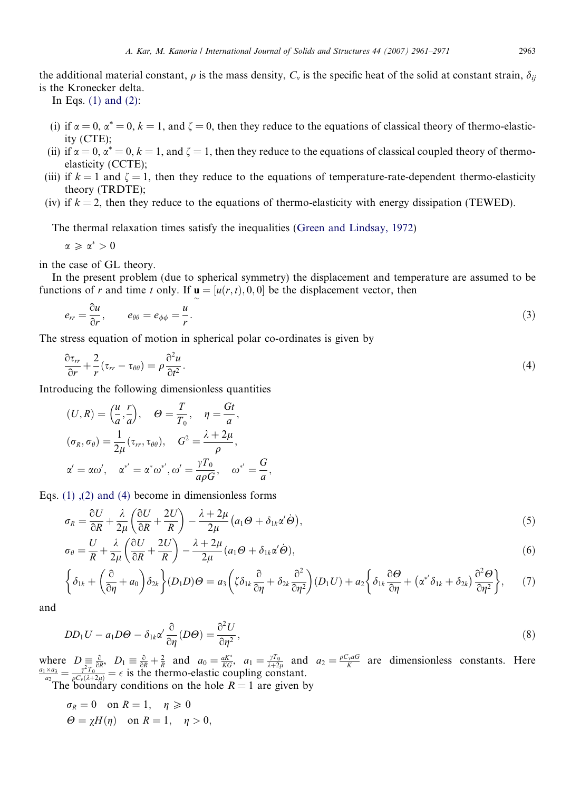the additional material constant,  $\rho$  is the mass density,  $C_v$  is the specific heat of the solid at constant strain,  $\delta_{ij}$ is the Kronecker delta.

In Eqs. (1) and (2):

- (i) if  $\alpha = 0$ ,  $\alpha^* = 0$ ,  $k = 1$ , and  $\zeta = 0$ , then they reduce to the equations of classical theory of thermo-elasticity (CTE);
- (ii) if  $\alpha = 0$ ,  $\alpha^* = 0$ ,  $k = 1$ , and  $\zeta = 1$ , then they reduce to the equations of classical coupled theory of thermoelasticity (CCTE);
- (iii) if  $k = 1$  and  $\zeta = 1$ , then they reduce to the equations of temperature-rate-dependent thermo-elasticity theory (TRDTE);
- (iv) if  $k = 2$ , then they reduce to the equations of thermo-elasticity with energy dissipation (TEWED).

The thermal relaxation times satisfy the inequalities (Green and Lindsay, 1972)

 $\alpha \geqslant \alpha^* > 0$ 

in the case of GL theory.

In the present problem (due to spherical symmetry) the displacement and temperature are assumed to be functions of *r* and time *t* only. If  $\mathbf{u} = [u(r, t), 0, 0]$  be the displacement vector, then

$$
e_{rr} = \frac{\partial u}{\partial r}, \qquad e_{\theta\theta} = e_{\phi\phi} = \frac{u}{r}.
$$

The stress equation of motion in spherical polar co-ordinates is given by

$$
\frac{\partial \tau_{rr}}{\partial r} + \frac{2}{r} (\tau_{rr} - \tau_{\theta\theta}) = \rho \frac{\partial^2 u}{\partial t^2}.
$$
\n(4)

Introducing the following dimensionless quantities

$$
(U, R) = \left(\frac{u}{a}, \frac{r}{a}\right), \quad \Theta = \frac{T}{T_0}, \quad \eta = \frac{Gt}{a},
$$
  

$$
(\sigma_R, \sigma_\theta) = \frac{1}{2\mu} (\tau_{rr}, \tau_{\theta\theta}), \quad G^2 = \frac{\lambda + 2\mu}{\rho},
$$
  

$$
\alpha' = \alpha\omega', \quad \alpha^{*'} = \alpha^*\omega^{*'}, \omega' = \frac{\gamma T_0}{a\rho G}, \quad \omega^{*'} = \frac{G}{a},
$$

Eqs. (1) ,(2) and (4) become in dimensionless forms

$$
\sigma_R = \frac{\partial U}{\partial R} + \frac{\lambda}{2\mu} \left( \frac{\partial U}{\partial R} + \frac{2U}{R} \right) - \frac{\lambda + 2\mu}{2\mu} \left( a_1 \Theta + \delta_{1k} \alpha' \dot{\Theta} \right),\tag{5}
$$

$$
\sigma_{\theta} = \frac{U}{R} + \frac{\lambda}{2\mu} \left( \frac{\partial U}{\partial R} + \frac{2U}{R} \right) - \frac{\lambda + 2\mu}{2\mu} (a_1 \Theta + \delta_{1k} \alpha' \dot{\Theta}), \tag{6}
$$

$$
\left\{\delta_{1k}+\left(\frac{\partial}{\partial\eta}+a_0\right)\delta_{2k}\right\}(D_1D)\Theta=a_3\left(\zeta\delta_{1k}\frac{\partial}{\partial\eta}+\delta_{2k}\frac{\partial^2}{\partial\eta^2}\right)(D_1U)+a_2\left\{\delta_{1k}\frac{\partial\Theta}{\partial\eta}+\left(\alpha^{*'}\delta_{1k}+\delta_{2k}\right)\frac{\partial^2\Theta}{\partial\eta^2}\right\},\tag{7}
$$

and

$$
DD_1U - a_1D\Theta - \delta_{1k}\alpha' \frac{\partial}{\partial \eta}(D\Theta) = \frac{\partial^2 U}{\partial \eta^2},\tag{8}
$$

where  $D = \frac{\partial}{\partial R}$ ,  $D_1 = \frac{\partial}{\partial R} + \frac{2}{R}$  and  $a_0 = \frac{aK^*}{KG}$ ,  $a_1 = \frac{\gamma T_0}{\lambda + 2\mu}$  and  $a_2 = \frac{\rho C_v aG}{K}$  are dimensionless constants. Here  $\frac{a_1 \times a_3}{a_2} = \frac{\gamma^2 T_0}{\rho C_v (\lambda + 2\mu)} = \epsilon$  is the thermo-elastic coupling constant.  $a_2 = \rho_{C_v(\lambda+2\mu)} - c$  is the thermo classic coupling constant.<br>The boundary conditions on the hole  $R = 1$  are given by

$$
\sigma_R = 0 \quad \text{on } R = 1, \quad \eta \ge 0
$$
  

$$
\Theta = \chi H(\eta) \quad \text{on } R = 1, \quad \eta > 0,
$$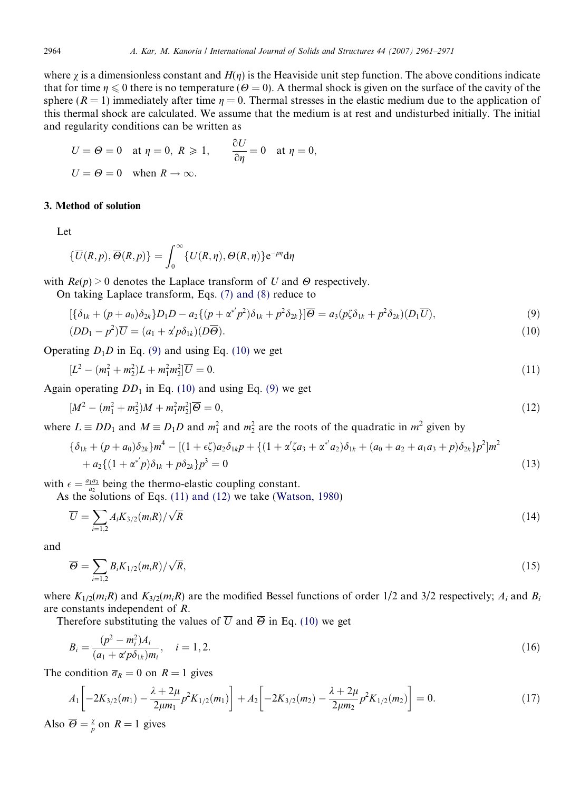where  $\gamma$  is a dimensionless constant and  $H(\eta)$  is the Heaviside unit step function. The above conditions indicate that for time  $\eta \leq 0$  there is no temperature ( $\Theta = 0$ ). A thermal shock is given on the surface of the cavity of the sphere ( $R = 1$ ) immediately after time  $\eta = 0$ . Thermal stresses in the elastic medium due to the application of this thermal shock are calculated. We assume that the medium is at rest and undisturbed initially. The initial and regularity conditions can be written as

$$
U = \Theta = 0 \quad \text{at } \eta = 0, \ R \ge 1, \qquad \frac{\partial U}{\partial \eta} = 0 \quad \text{at } \eta = 0,
$$
  

$$
U = \Theta = 0 \quad \text{when } R \to \infty.
$$

# 3. Method of solution

Let

$$
\{\overline{U}(R,p),\overline{\Theta}(R,p)\}=\int_0^\infty \{U(R,\eta),\Theta(R,\eta)\}e^{-pn}\mathrm{d}\eta
$$

with  $Re(p) > 0$  denotes the Laplace transform of *U* and  $\Theta$  respectively.

On taking Laplace transform, Eqs. (7) and (8) reduce to

$$
[\{\delta_{1k}+(p+a_0)\delta_{2k}\}D_1D-a_2\{(p+\alpha^{\ast\prime}p^2)\delta_{1k}+p^2\delta_{2k}\}]\overline{\Theta}=a_3(p\zeta\delta_{1k}+p^2\delta_{2k})(D_1\overline{U}),
$$
\n(9)

$$
(DD_1 - p^2)\overline{U} = (a_1 + \alpha' p \delta_{1k})(D\overline{\Theta}).
$$
\n(10)

Operating  $D_1D$  in Eq. (9) and using Eq. (10) we get

$$
[L2 - (m12 + m22)L + m12m22]\overline{U} = 0.
$$
\n(11)

Again operating  $DD_1$  in Eq. (10) and using Eq. (9) we get

$$
[M^2 - (m_1^2 + m_2^2)M + m_1^2 m_2^2] \overline{\Theta} = 0,
$$
\n(12)

where  $L \equiv DD_1$  and  $M \equiv D_1D$  and  $m_1^2$  and  $m_2^2$  are the roots of the quadratic in  $m^2$  given by

$$
\{\delta_{1k} + (p+a_0)\delta_{2k}\}m^4 - [(1+\epsilon\zeta)a_2\delta_{1k}p + \{(1+\alpha'\zeta a_3 + \alpha^{*'}a_2)\delta_{1k} + (a_0+a_2+a_1a_3+p)\delta_{2k}\}p^2]m^2 + a_2\{(1+\alpha^{*'}p)\delta_{1k} + p\delta_{2k}\}p^3 = 0
$$
\n(13)

with  $\epsilon = \frac{a_1 a_3}{a_2}$  being the thermo-elastic coupling constant.

As the solutions of Eqs. (11) and (12) we take (Watson, 1980)

$$
\overline{U} = \sum_{i=1,2} A_i K_{3/2}(m_i R) / \sqrt{R}
$$
\n(14)

and

$$
\overline{\Theta} = \sum_{i=1,2} B_i K_{1/2}(m_i R) / \sqrt{R},\tag{15}
$$

where  $K_{1/2}(m_iR)$  and  $K_{3/2}(m_iR)$  are the modified Bessel functions of order 1/2 and 3/2 respectively;  $A_i$  and  $B_i$ are constants independent of *R*.

Therefore substituting the values of  $\overline{U}$  and  $\overline{\Theta}$  in Eq. (10) we get

$$
B_i = \frac{(p^2 - m_i^2)A_i}{(a_1 + \alpha' p \delta_{1k})m_i}, \quad i = 1, 2.
$$
\n(16)

The condition  $\overline{\sigma}_R = 0$  on  $R = 1$  gives

$$
A_1 \left[ -2K_{3/2}(m_1) - \frac{\lambda + 2\mu}{2\mu m_1} p^2 K_{1/2}(m_1) \right] + A_2 \left[ -2K_{3/2}(m_2) - \frac{\lambda + 2\mu}{2\mu m_2} p^2 K_{1/2}(m_2) \right] = 0. \tag{17}
$$

Also  $\overline{\Theta} = \frac{\chi}{p}$  on  $R = 1$  gives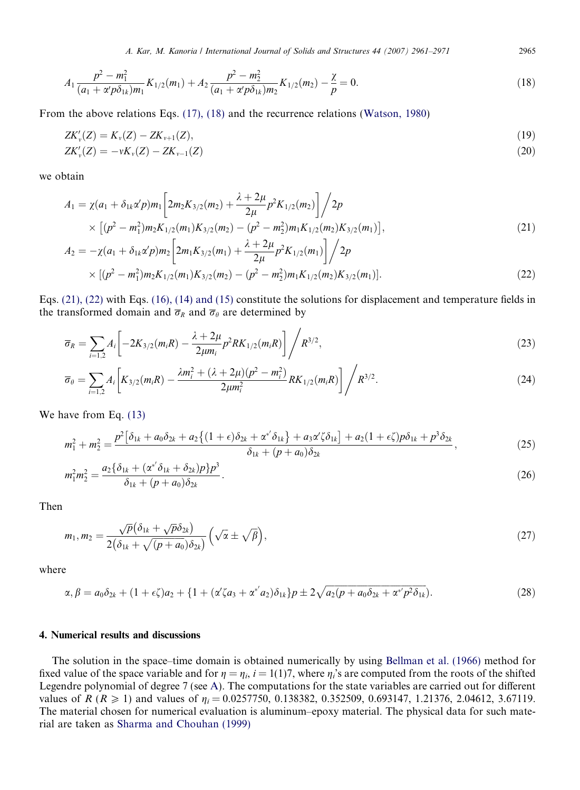*A. Kar, M. Kanoria / International Journal of Solids and Structures 44 (2007) 2961–2971* 2965

$$
A_1 \frac{p^2 - m_1^2}{(a_1 + \alpha' p \delta_{1k}) m_1} K_{1/2}(m_1) + A_2 \frac{p^2 - m_2^2}{(a_1 + \alpha' p \delta_{1k}) m_2} K_{1/2}(m_2) - \frac{\chi}{p} = 0.
$$
\n(18)

From the above relations Eqs. (17), (18) and the recurrence relations (Watson, 1980)

$$
ZK'_{\nu}(Z) = K_{\nu}(Z) - ZK_{\nu+1}(Z), \tag{19}
$$

$$
ZK'_{\nu}(Z) = -\nu K_{\nu}(Z) - ZK_{\nu-1}(Z) \tag{20}
$$

we obtain

$$
A_1 = \chi(a_1 + \delta_{1k}\alpha'p)m_1 \left[ 2m_2K_{3/2}(m_2) + \frac{\lambda + 2\mu}{2\mu} p^2 K_{1/2}(m_2) \right] / 2p
$$
  
 
$$
\times \left[ (p^2 - m_1^2)m_2K_{1/2}(m_1)K_{3/2}(m_2) - (p^2 - m_2^2)m_1K_{1/2}(m_2)K_{3/2}(m_1) \right],
$$
  
\n
$$
A_2 = -\chi(a_1 + \delta_{1k}\alpha'p)m_2 \left[ 2m_1K_{3/2}(m_1) + \frac{\lambda + 2\mu}{2\mu} p^2 K_{1/2}(m_1) \right] / 2p
$$
\n(21)

$$
\times [(p2 - m12)m2K1/2(m1)K3/2(m2) - (p2 - m22)m1K1/2(m2)K3/2(m1)].
$$
\n(22)

Eqs. (21), (22) with Eqs. (16), (14) and (15) constitute the solutions for displacement and temperature fields in the transformed domain and  $\overline{\sigma}_R$  and  $\overline{\sigma}_\theta$  are determined by

$$
\overline{\sigma}_R = \sum_{i=1,2} A_i \left[ -2K_{3/2}(m_i R) - \frac{\lambda + 2\mu}{2\mu m_i} p^2 R K_{1/2}(m_i R) \right] / R^{3/2}, \tag{23}
$$

$$
\overline{\sigma}_{\theta} = \sum_{i=1,2} A_i \left[ K_{3/2}(m_i R) - \frac{\lambda m_i^2 + (\lambda + 2\mu)(p^2 - m_i^2)}{2\mu m_i^2} R K_{1/2}(m_i R) \right] / R^{3/2}.
$$
 (24)

We have from Eq. (13)

$$
m_1^2 + m_2^2 = \frac{p^2 \left[ \delta_{1k} + a_0 \delta_{2k} + a_2 \left\{ (1 + \epsilon) \delta_{2k} + \alpha^{*'} \delta_{1k} \right\} + a_3 \alpha' \zeta \delta_{1k} \right] + a_2 (1 + \epsilon \zeta) p \delta_{1k} + p^3 \delta_{2k}}{\delta_{1k} + (p + a_0) \delta_{2k}},
$$
(25)

$$
m_1^2 m_2^2 = \frac{a_2 \{\delta_{1k} + (\alpha^{*'} \delta_{1k} + \delta_{2k}) p\} p^3}{\delta_{1k} + (p + a_0) \delta_{2k}}.
$$
\n(26)

Then

$$
m_1, m_2 = \frac{\sqrt{p}(\delta_{1k} + \sqrt{p}\delta_{2k})}{2(\delta_{1k} + \sqrt{(p+a_0)}\delta_{2k})} \left(\sqrt{\alpha} \pm \sqrt{\beta}\right),\tag{27}
$$

where

$$
\alpha, \beta = a_0 \delta_{2k} + (1 + \epsilon \zeta) a_2 + \{1 + (\alpha' \zeta a_3 + \alpha^{*'} a_2) \delta_{1k}\} p \pm 2\sqrt{a_2 (p + a_0 \delta_{2k} + \alpha^{*'} p^2 \delta_{1k}}). \tag{28}
$$

# 4. Numerical results and discussions

The solution in the space–time domain is obtained numerically by using Bellman et al. (1966) method for fixed value of the space variable and for  $\eta = \eta_i$ ,  $i = 1(1)7$ , where  $\eta_i$ 's are computed from the roots of the shifted Legendre polynomial of degree 7 (see A). The computations for the state variables are carried out for different values of *R* ( $R \ge 1$ ) and values of  $\eta_i = 0.0257750$ , 0.138382, 0.352509, 0.693147, 1.21376, 2.04612, 3.67119. The material chosen for numerical evaluation is aluminum–epoxy material. The physical data for such material are taken as Sharma and Chouhan (1999)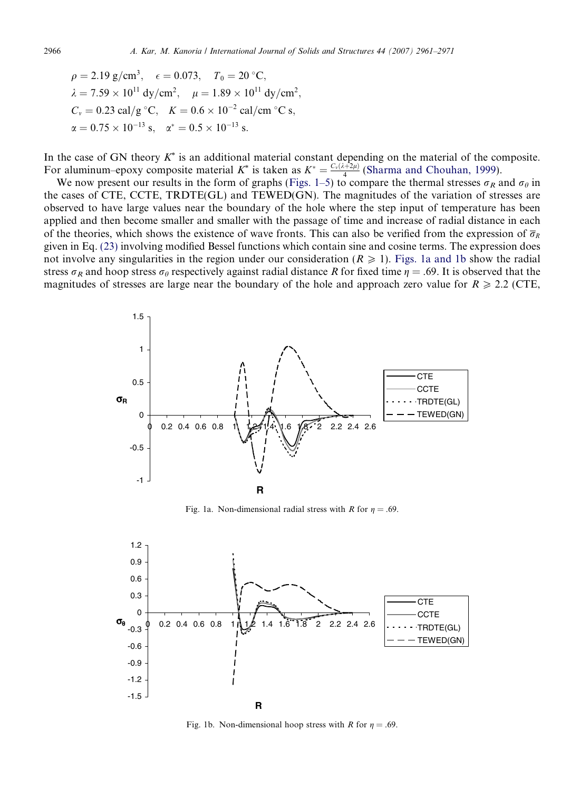$$
\rho = 2.19 \text{ g/cm}^3, \quad \epsilon = 0.073, \quad T_0 = 20 \text{ °C},
$$
  
\n
$$
\lambda = 7.59 \times 10^{11} \text{ dy/cm}^2, \quad \mu = 1.89 \times 10^{11} \text{ dy/cm}^2,
$$
  
\n
$$
C_v = 0.23 \text{ cal/g } ^\circ\text{C}, \quad K = 0.6 \times 10^{-2} \text{ cal/cm } ^\circ\text{C s},
$$
  
\n
$$
\alpha = 0.75 \times 10^{-13} \text{ s}, \quad \alpha^* = 0.5 \times 10^{-13} \text{ s}.
$$

In the case of GN theory  $K^*$  is an additional material constant depending on the material of the composite. For aluminum–epoxy composite material  $K^*$  is taken as  $K^* = \frac{C_v(\lambda+2\mu)}{4}$  (Sharma and Chouhan, 1999).

We now present our results in the form of graphs (Figs. 1–5) to compare the thermal stresses  $\sigma_R$  and  $\sigma_\theta$  in the cases of CTE, CCTE, TRDTE(GL) and TEWED(GN). The magnitudes of the variation of stresses are observed to have large values near the boundary of the hole where the step input of temperature has been applied and then become smaller and smaller with the passage of time and increase of radial distance in each of the theories, which shows the existence of wave fronts. This can also be verified from the expression of  $\overline{\sigma}_R$ given in Eq. (23) involving modified Bessel functions which contain sine and cosine terms. The expression does not involve any singularities in the region under our consideration ( $R \ge 1$ ). Figs. 1a and 1b show the radial stress  $\sigma_R$  and hoop stress  $\sigma_\theta$  respectively against radial distance *R* for fixed time  $\eta = .69$ . It is observed that the magnitudes of stresses are large near the boundary of the hole and approach zero value for  $R \ge 2.2$  (CTE,



Fig. 1a. Non-dimensional radial stress with *R* for  $\eta = .69$ .



Fig. 1b. Non-dimensional hoop stress with *R* for  $\eta = .69$ .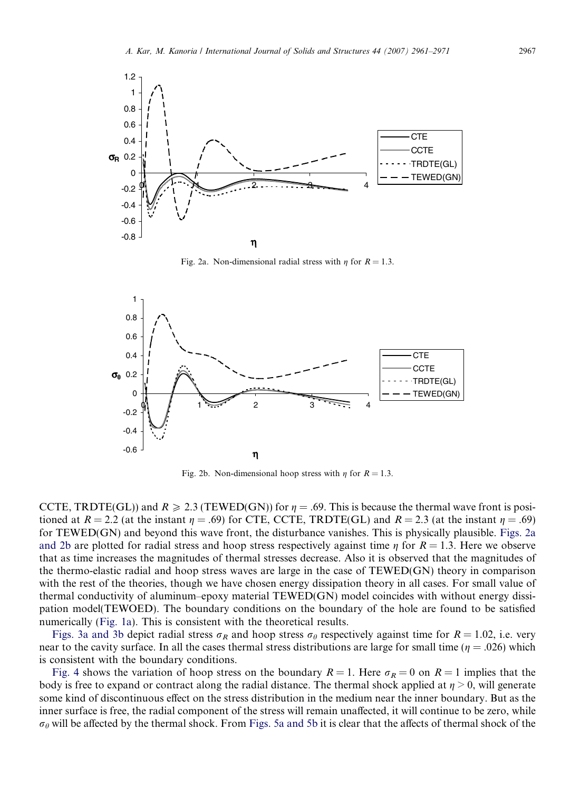

Fig. 2a. Non-dimensional radial stress with  $\eta$  for  $R = 1.3$ .



Fig. 2b. Non-dimensional hoop stress with  $\eta$  for  $R = 1.3$ .

CCTE, TRDTE(GL)) and  $R \ge 2.3$  (TEWED(GN)) for  $\eta = .69$ . This is because the thermal wave front is positioned at  $R = 2.2$  (at the instant  $\eta = .69$ ) for CTE, CCTE, TRDTE(GL) and  $R = 2.3$  (at the instant  $\eta = .69$ ) for TEWED(GN) and beyond this wave front, the disturbance vanishes. This is physically plausible. Figs. 2a and 2b are plotted for radial stress and hoop stress respectively against time  $\eta$  for  $R = 1.3$ . Here we observe that as time increases the magnitudes of thermal stresses decrease. Also it is observed that the magnitudes of the thermo-elastic radial and hoop stress waves are large in the case of TEWED(GN) theory in comparison with the rest of the theories, though we have chosen energy dissipation theory in all cases. For small value of thermal conductivity of aluminum–epoxy material TEWED(GN) model coincides with without energy dissipation model(TEWOED). The boundary conditions on the boundary of the hole are found to be satisfied numerically (Fig. 1a). This is consistent with the theoretical results.

Figs. 3a and 3b depict radial stress  $\sigma_R$  and hoop stress  $\sigma_\theta$  respectively against time for  $R = 1.02$ , i.e. very near to the cavity surface. In all the cases thermal stress distributions are large for small time ( $\eta = .026$ ) which is consistent with the boundary conditions.

Fig. 4 shows the variation of hoop stress on the boundary  $R = 1$ . Here  $\sigma_R = 0$  on  $R = 1$  implies that the body is free to expand or contract along the radial distance. The thermal shock applied at  $\eta > 0$ , will generate some kind of discontinuous effect on the stress distribution in the medium near the inner boundary. But as the inner surface is free, the radial component of the stress will remain unaffected, it will continue to be zero, while  $\sigma_{\theta}$  will be affected by the thermal shock. From Figs. 5a and 5b it is clear that the affects of thermal shock of the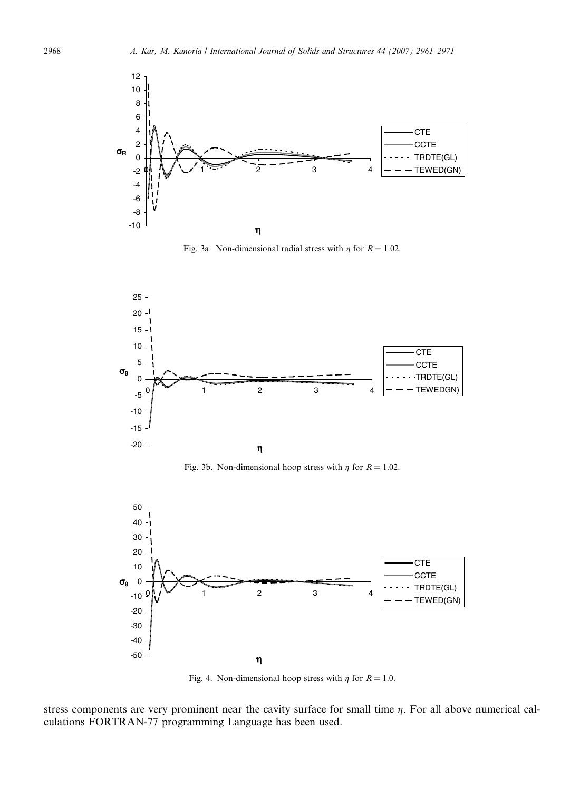

Fig. 3a. Non-dimensional radial stress with  $\eta$  for  $R = 1.02$ .



Fig. 3b. Non-dimensional hoop stress with  $\eta$  for  $R = 1.02$ .



Fig. 4. Non-dimensional hoop stress with  $\eta$  for  $R = 1.0$ .

stress components are very prominent near the cavity surface for small time  $\eta$ . For all above numerical calculations FORTRAN-77 programming Language has been used.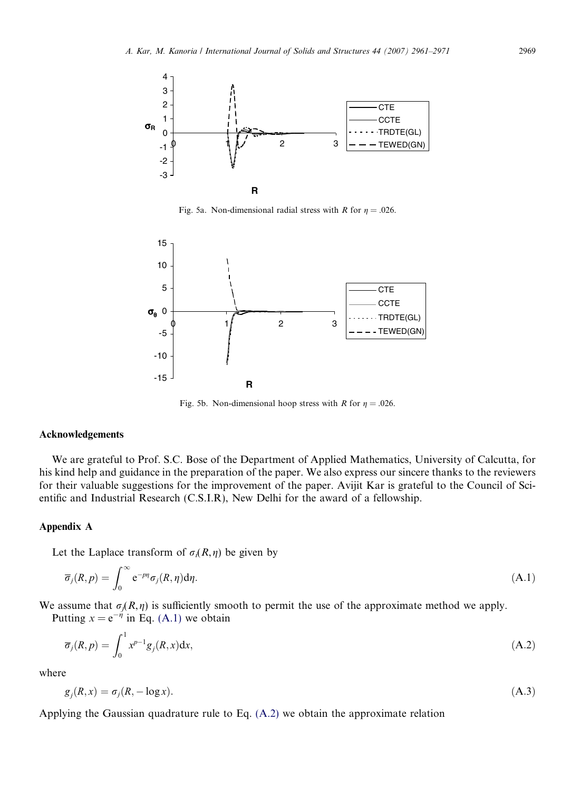

Fig. 5a. Non-dimensional radial stress with *R* for  $\eta = .026$ .



Fig. 5b. Non-dimensional hoop stress with *R* for  $\eta = .026$ .

#### Acknowledgements

We are grateful to Prof. S.C. Bose of the Department of Applied Mathematics, University of Calcutta, for his kind help and guidance in the preparation of the paper. We also express our sincere thanks to the reviewers for their valuable suggestions for the improvement of the paper. Avijit Kar is grateful to the Council of Scientific and Industrial Research (C.S.I.R), New Delhi for the award of a fellowship.

## Appendix A

Let the Laplace transform of  $\sigma_i(R,\eta)$  be given by

$$
\overline{\sigma}_j(R,p) = \int_0^\infty e^{-p\eta} \sigma_j(R,\eta) d\eta.
$$
 (A.1)

We assume that  $\sigma_j(R,\eta)$  is sufficiently smooth to permit the use of the approximate method we apply. Putting  $x = e^{-\eta}$  in Eq. (A.1) we obtain

$$
\overline{\sigma}_j(R,p) = \int_0^1 x^{p-1} g_j(R,x) dx,
$$
\n(A.2)

where

$$
g_j(R,x) = \sigma_j(R, -\log x). \tag{A.3}
$$

Applying the Gaussian quadrature rule to Eq. (A.2) we obtain the approximate relation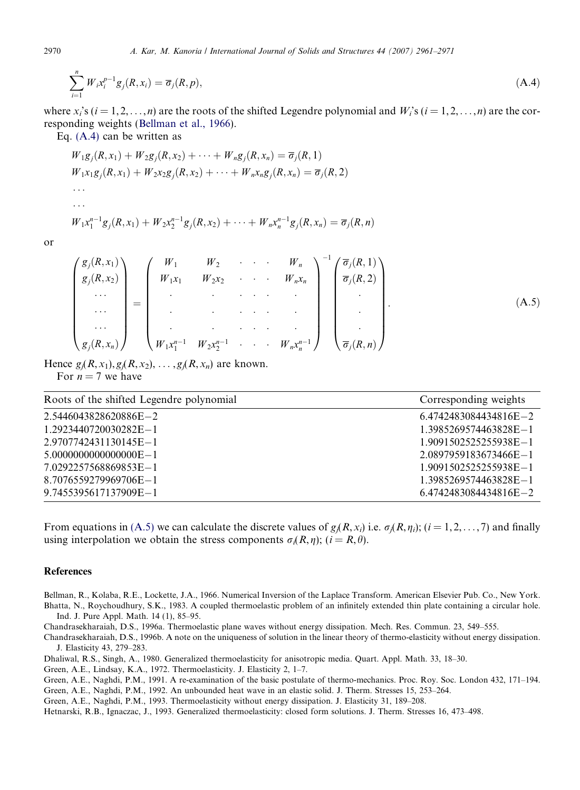$$
\sum_{i=1}^{n} W_i x_i^{p-1} g_j(R, x_i) = \overline{\sigma}_j(R, p), \tag{A.4}
$$

where  $x_i$ 's ( $i = 1, 2, ..., n$ ) are the roots of the shifted Legendre polynomial and  $W_i$ 's ( $i = 1, 2, ..., n$ ) are the corresponding weights (Bellman et al., 1966).

Eq. (A.4) can be written as

$$
W_1g_j(R, x_1) + W_2g_j(R, x_2) + \cdots + W_ng_j(R, x_n) = \overline{\sigma}_j(R, 1)
$$
  
\n
$$
W_1x_1g_j(R, x_1) + W_2x_2g_j(R, x_2) + \cdots + W_nx_ng_j(R, x_n) = \overline{\sigma}_j(R, 2)
$$
  
\n...  
\n
$$
W_1x_1^{n-1}g_j(R, x_1) + W_2x_2^{n-1}g_j(R, x_2) + \cdots + W_nx_n^{n-1}g_j(R, x_n) = \overline{\sigma}_j(R, n)
$$

or

$$
\begin{pmatrix} g_j(R, x_1) \\ g_j(R, x_2) \\ \cdots \\ g_j(R, x_n) \end{pmatrix} = \begin{pmatrix} W_1 & W_2 & \cdots & W_n \\ W_1x_1 & W_2x_2 & \cdots & W_nx_n \\ \vdots & \vdots & \ddots & \vdots \\ W_1x_1^{n-1} & W_2x_2^{n-1} & \cdots & W_nx_n^{n-1} \end{pmatrix}^{-1} \begin{pmatrix} \overline{\sigma}_j(R, 1) \\ \overline{\sigma}_j(R, 2) \\ \vdots \\ \overline{\sigma}_j(R, n) \end{pmatrix}
$$
(A.5)

Hence  $g_j(R, x_1), g_j(R, x_2), \ldots, g_j(R, x_n)$  are known. For  $n = 7$  we have

| Roots of the shifted Legendre polynomial | Corresponding weights |
|------------------------------------------|-----------------------|
| 2.5446043828620886E-2                    | 6.4742483084434816E-2 |
| 1.2923440720030282E-1                    | 1.3985269574463828E-1 |
| 2.9707742431130145E-1                    | 1.9091502525255938E-1 |
| $5.0000000000000000E - 1$                | 2.0897959183673466E-1 |
| 7.0292257568869853E-1                    | 1.9091502525255938E-1 |
| 8.7076559279969706E-1                    | 1.3985269574463828E-1 |
| 9.7455395617137909E-1                    | 6.4742483084434816E-2 |

From equations in (A.5) we can calculate the discrete values of  $g_j(R, x_i)$  i.e.  $\sigma_j(R, \eta_i)$ ; (*i* = 1, 2, ..., 7) and finally using interpolation we obtain the stress components  $\sigma_i(R,\eta)$ ; ( $i = R,\theta$ ).

## **References**

Bellman, R., Kolaba, R.E., Lockette, J.A., 1966. Numerical Inversion of the Laplace Transform. American Elsevier Pub. Co., New York. Bhatta, N., Roychoudhury, S.K., 1983. A coupled thermoelastic problem of an infinitely extended thin plate containing a circular hole. Ind. J. Pure Appl. Math. 14 (1), 85–95.

Chandrasekharaiah, D.S., 1996a. Thermoelastic plane waves without energy dissipation. Mech. Res. Commun. 23, 549–555.

- Chandrasekharaiah, D.S., 1996b. A note on the uniqueness of solution in the linear theory of thermo-elasticity without energy dissipation. J. Elasticity 43, 279–283.
- Dhaliwal, R.S., Singh, A., 1980. Generalized thermoelasticity for anisotropic media. Quart. Appl. Math. 33, 18–30.
- Green, A.E., Lindsay, K.A., 1972. Thermoelasticity. J. Elasticity 2, 1–7.
- Green, A.E., Naghdi, P.M., 1991. A re-examination of the basic postulate of thermo-mechanics. Proc. Roy. Soc. London 432, 171–194. Green, A.E., Naghdi, P.M., 1992. An unbounded heat wave in an elastic solid. J. Therm. Stresses 15, 253–264.

Green, A.E., Naghdi, P.M., 1993. Thermoelasticity without energy dissipation. J. Elasticity 31, 189–208.

Hetnarski, R.B., Ignaczac, J., 1993. Generalized thermoelasticity: closed form solutions. J. Therm. Stresses 16, 473–498.